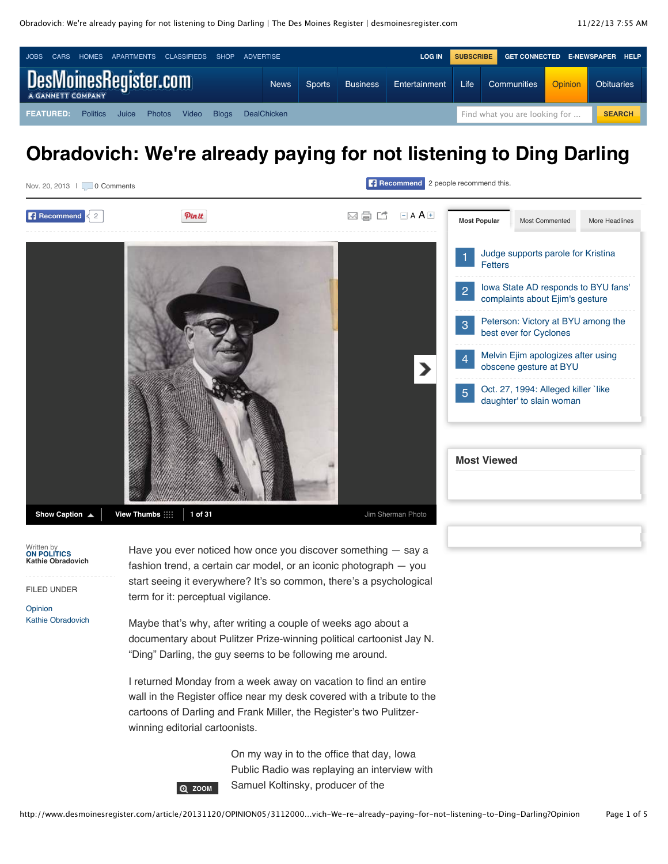

# **Obradovich: We're already paying for not listening to Ding Darling**



Written by **[ON POLITICS](mailto:kobradovich@dmreg.com) Kathie Obradovich**

FILED UNDER

**[Opinion](http://www.desmoinesregister.com/section/OPINION)** [Kathie Obradovich](http://www.desmoinesregister.com/section/OPINION05) Have you ever noticed how once you discover something — say a fashion trend, a certain car model, or an iconic photograph — you start seeing it everywhere? It's so common, there's a psychological term for it: perceptual vigilance.

Maybe that's why, after writing a couple of weeks ago about a documentary about Pulitzer Prize-winning political cartoonist Jay N. "Ding" Darling, the guy seems to be following me around.

I returned Monday from a week away on vacation to find an entire wall in the Register office near my desk covered with a tribute to the cartoons of Darling and Frank Miller, the Register's two Pulitzerwinning editorial cartoonists.

> On my way in to the office that day, Iowa Public Radio was replaying an interview with Samuel Koltinsky, producer of the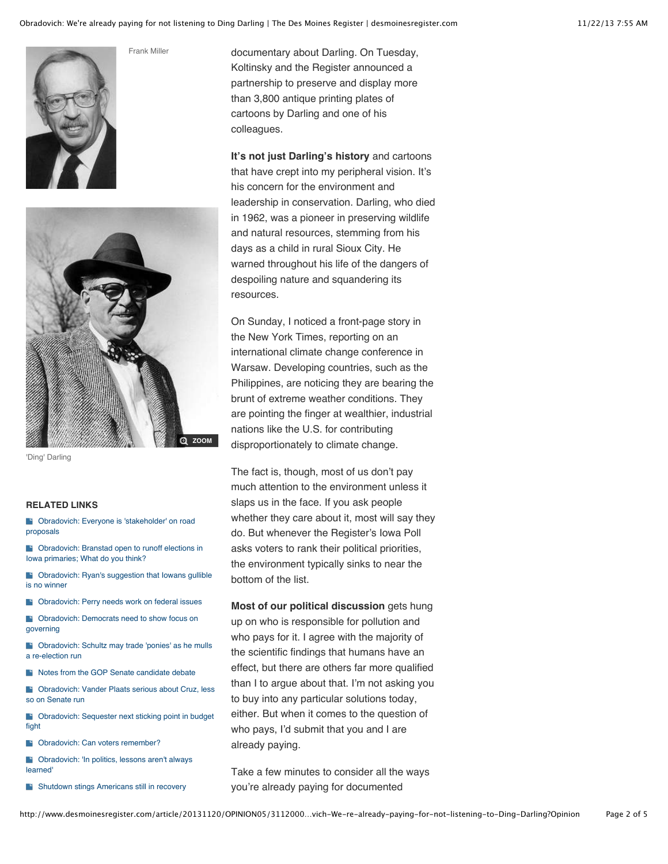



Frank Miller

'Ding' Darling

#### **RELATED LINKS**

**B** [Obradovich: Everyone is 'stakeholder' on road](http://www.desmoinesregister.com/article/20131119/OPINION05/311190041) proposals

**B** [Obradovich: Branstad open to runoff elections in](http://www.desmoinesregister.com/article/20131118/NEWS09/311180104) Iowa primaries; What do you think?

**B** [Obradovich: Ryan's suggestion that Iowans gullible](http://www.desmoinesregister.com/article/20131117/OPINION05/311170067) is no winner

**Cobradovich: Perry needs work on federal issues** 

**Cobradovich: Democrats need to show focus on** governing

**B** [Obradovich: Schultz may trade 'ponies' as he mulls](http://www.desmoinesregister.com/article/20131027/OPINION05/310270072) a re-election run

**[Notes from the GOP Senate candidate debate](http://www.desmoinesregister.com/article/20131024/OPINION05/310240065)** 

[Obradovich: Vander Plaats serious about Cruz, less](http://www.desmoinesregister.com/article/20131023/OPINION05/310230103) so on Senate run

**B** [Obradovich: Sequester next sticking point in budget](http://www.desmoinesregister.com/article/20131020/OPINION05/310200069) fight

**Cobradovich:** Can voters remember?

**B** [Obradovich: 'In politics, lessons aren't always](http://www.desmoinesregister.com/article/20131013/OPINION05/310130060) learned'

[Shutdown stings Americans still in recovery](http://www.desmoinesregister.com/article/20131006/OPINION05/310060088)

documentary about Darling. On Tuesday, Koltinsky and the Register announced a partnership to preserve and display more than 3,800 antique printing plates of cartoons by Darling and one of his colleagues.

**It's not just Darling's history** and cartoons that have crept into my peripheral vision. It's his concern for the environment and leadership in conservation. Darling, who died in 1962, was a pioneer in preserving wildlife and natural resources, stemming from his days as a child in rural Sioux City. He warned throughout his life of the dangers of despoiling nature and squandering its resources.

On Sunday, I noticed a front-page story in the New York Times, reporting on an international climate change conference in Warsaw. Developing countries, such as the Philippines, are noticing they are bearing the brunt of extreme weather conditions. They are pointing the finger at wealthier, industrial nations like the U.S. for contributing disproportionately to climate change.

The fact is, though, most of us don't pay much attention to the environment unless it slaps us in the face. If you ask people whether they care about it, most will say they do. But whenever the Register's Iowa Poll asks voters to rank their political priorities, the environment typically sinks to near the bottom of the list.

**Most of our political discussion** gets hung up on who is responsible for pollution and who pays for it. I agree with the majority of the scientific findings that humans have an effect, but there are others far more qualified than I to argue about that. I'm not asking you to buy into any particular solutions today, either. But when it comes to the question of who pays, I'd submit that you and I are already paying.

Take a few minutes to consider all the ways you're already paying for documented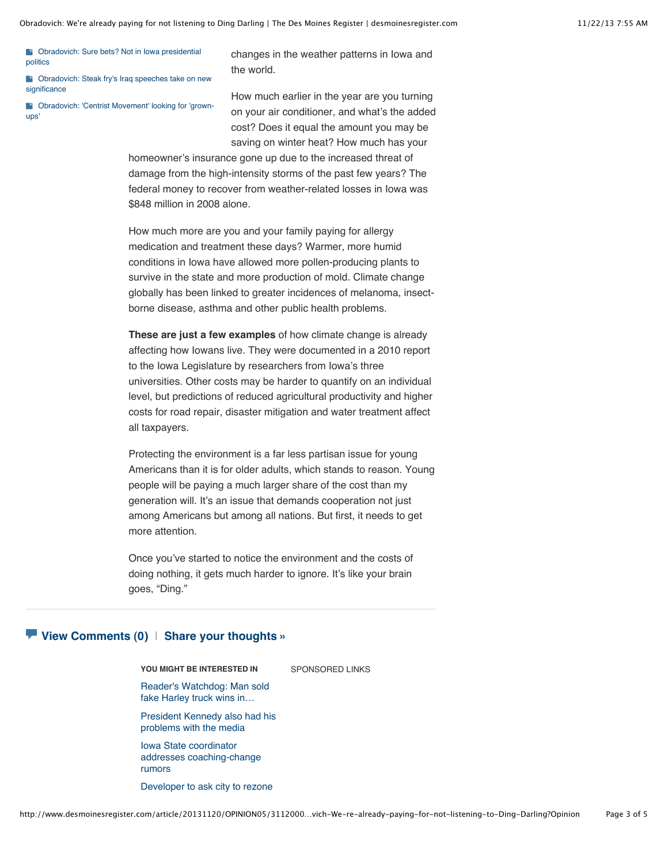[Obradovich: Sure bets? Not in Iowa presidential](http://www.desmoinesregister.com/article/20130928/OPINION05/309280069) politics

**B** [Obradovich: Steak fry's Iraq speeches take on new](http://www.desmoinesregister.com/article/20130914/OPINION05/309150023) significance

[Obradovich: 'Centrist Movement' looking for 'grown](http://www.desmoinesregister.com/article/20130825/OPINION05/308250042)ups'

changes in the weather patterns in Iowa and the world.

How much earlier in the year are you turning on your air conditioner, and what's the added cost? Does it equal the amount you may be saving on winter heat? How much has your

homeowner's insurance gone up due to the increased threat of damage from the high-intensity storms of the past few years? The federal money to recover from weather-related losses in Iowa was \$848 million in 2008 alone.

How much more are you and your family paying for allergy medication and treatment these days? Warmer, more humid conditions in Iowa have allowed more pollen-producing plants to survive in the state and more production of mold. Climate change globally has been linked to greater incidences of melanoma, insectborne disease, asthma and other public health problems.

**These are just a few examples** of how climate change is already affecting how Iowans live. They were documented in a 2010 report to the Iowa Legislature by researchers from Iowa's three universities. Other costs may be harder to quantify on an individual level, but predictions of reduced agricultural productivity and higher costs for road repair, disaster mitigation and water treatment affect all taxpayers.

Protecting the environment is a far less partisan issue for young Americans than it is for older adults, which stands to reason. Young people will be paying a much larger share of the cost than my generation will. It's an issue that demands cooperation not just among Americans but among all nations. But first, it needs to get more attention.

Once you've started to notice the environment and the costs of doing nothing, it gets much harder to ignore. It's like your brain goes, "Ding."

#### **[View Comments](http://www.desmoinesregister.com/comments/article/20131120/OPINION05/311200096/Obradovich-We-re-already-paying-not-listening-Ding-Darling) (0)** | **[Share your thoughts »](http://www.desmoinesregister.com/comments/article/20131120/OPINION05/311200096/Obradovich-We-re-already-paying-not-listening-Ding-Darling)**

#### **YOU MIGHT BE INTERESTED IN**

SPONSORED LINKS

[Reader's Watchdog: Man sold](http://www.desmoinesregister.com/article/20131120/NEWS/311200036/Reader-s-Watchdog-Man-sold-fake-Harley-truck-wins-court) fake Harley truck wins in…

[President Kennedy also had his](http://www.desmoinesregister.com/article/20131117/NEWS/131115051/President-Kennedy-also-had-his-problems-media) problems with the media

Iowa State coordinator [addresses coaching-change](http://www.desmoinesregister.com/article/20131113/SPORTS020602/131113005/Iowa-State-coordinator-addresses-coaching-change-rumors) rumors

[Developer to ask city to rezone](http://www.desmoinesregister.com/article/20131115/COMM08/311150039/Developer-ask-city-rezone-land-apartments)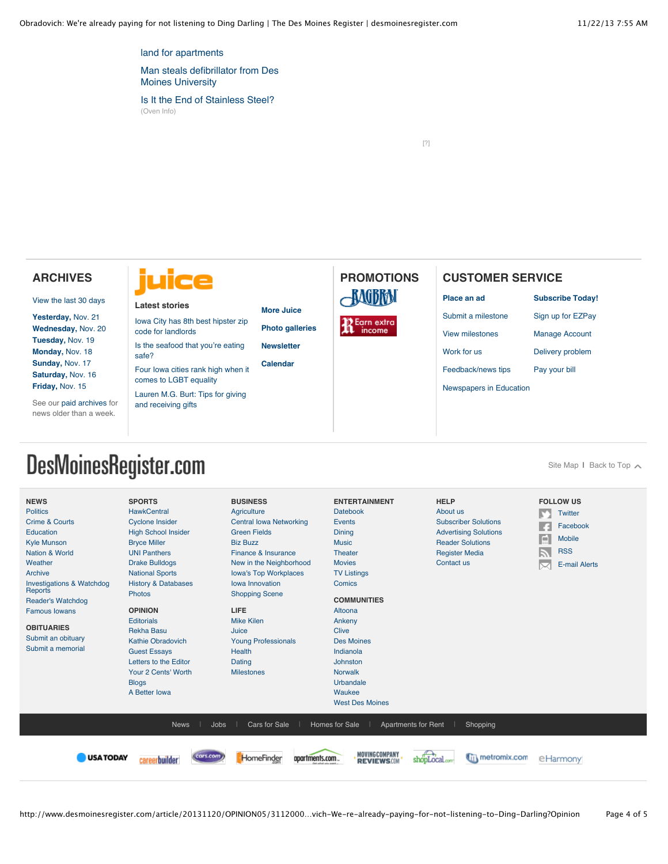[land for apartments](http://www.desmoinesregister.com/article/20131115/COMM08/311150039/Developer-ask-city-rezone-land-apartments)

[Man steals defibrillator from Des](http://www.desmoinesregister.com/article/20131114/NEWS01/131114002/Man-steals-defibrillator-from-Des-Moines-University) Moines University

[Is It the End of Stainless Steel?](http://www.oveninfo.com/features/is-stainless-still-king-of-the-kitchen.ht?u) (Oven Info)

[\[?\]](http://www.desmoinesregister.com/article/20131120/OPINION05/311200096/Obradovich-We-re-already-paying-for-not-listening-to-Ding-Darling?Opinion#)

## **ARCHIVES**

[View the last 30 days](http://www.desmoinesregister.com/section/archive)

**[Yesterday,](http://www.desmoinesregister.com/section/archive&archivedate=20131121)** Nov. 21 **[Wednesday,](http://www.desmoinesregister.com/section/archive&archivedate=20131120)** Nov. 20 **[Tuesday,](http://www.desmoinesregister.com/section/archive&archivedate=20131119)** Nov. 19 **[Monday,](http://www.desmoinesregister.com/section/archive&archivedate=20131118)** Nov. 18 **[Sunday,](http://www.desmoinesregister.com/section/archive&archivedate=20131117)** Nov. 17 **[Saturday,](http://www.desmoinesregister.com/section/archive&archivedate=20131116)** Nov. 16 **[Friday,](http://www.desmoinesregister.com/section/archive&archivedate=20131115)** Nov. 15

See our [paid archives](http://pqasb.pqarchiver.com/desmoinesregister/advancedsearch.html) for news older than a week.



#### **Latest stories**

[Iowa City has 8th best hipster zip](http://dmjuice.com/iowa-city-has-8th-best-hipster-zip-code-for-landlords/) code for landlords [Is the seafood that you](http://dmjuice.com/is-the-seafood-that-youre-eating-safe/)'re eating

safe? [Four Iowa cities rank high when it](http://dmjuice.com/four-iowa-cities-rank-high-on-lgbt-equality-index/)

comes to LGBT equality

[Lauren M.G. Burt: Tips for giving](http://dmjuice.com/lauren-m-g-burt-tips-for-giving-and-receiving-gifts/) and receiving gifts

#### **[More Juice](http://dmjuice.com/)**

**[Photo galleries](http://dmjuice.com/category/scenes/) [Newsletter](http://dmjuice.com/juice/newsletter-sign-up/)**

**[Calendar](http://events.dmjuice.com/)**

# **PROMOTIONS BAGBRAI**

**R** Earn extra<br>**R** income

### **CUSTOMER SERVICE**

**[Place an ad](http://www.desmoinesregister.com/ezclassifieds)**

[Submit a milestone](http://www.desmoinesregister.com/milestones)

[View milestones](http://www.legacy.com/desmoinesregister/celebrations.asp)

[Feedback/news tips](http://www.desmoinesregister.com/apps/pbcs.dll/article?AID=/99999999/HELP/40517017)

[Work for us](https://performancemanager4.successfactors.com/career?company=Gannett&site=cHl6NlBjQUxuVU09)

[Pay your bill](http://www.desmoinesregister.com/myaccount)

**[Subscribe Today!](http://www.desmoinesregister.com/subscribe)** [Sign up for EZPay](http://www.desmoinesregister.com/ezpay) [Manage Account](http://www.desmoinesregister.com/myaccount) [Delivery problem](http://www.desmoinesregister.com/myaccount)

[Newspapers in Education](http://www.desmoinesregister.com/nie)

# DesMoinesRegister.com

[Site Map](http://www.desmoinesregister.com/section/sitemaphtml) I [Back to Top](http://www.desmoinesregister.com/article/20131120/OPINION05/311200096/Obradovich-We-re-already-paying-for-not-listening-to-Ding-Darling?Opinion#top)  $\sim$ 

| <b>NEWS</b><br><b>Politics</b><br><b>Crime &amp; Courts</b><br>Education<br><b>Kyle Munson</b><br><b>Nation &amp; World</b><br>Weather<br>Archive<br><b>Investigations &amp; Watchdog</b><br>Reports<br><b>Reader's Watchdog</b><br><b>Famous lowans</b><br><b>OBITUARIES</b><br>Submit an obituary<br>Submit a memorial | <b>SPORTS</b><br><b>HawkCentral</b><br><b>Cyclone Insider</b><br><b>High School Insider</b><br><b>Bryce Miller</b><br><b>UNI Panthers</b><br><b>Drake Bulldogs</b><br><b>National Sports</b><br><b>History &amp; Databases</b><br><b>Photos</b><br><b>OPINION</b><br><b>Editorials</b><br><b>Rekha Basu</b><br><b>Kathie Obradovich</b><br><b>Guest Essays</b><br>Letters to the Editor<br>Your 2 Cents' Worth<br><b>Blogs</b><br>A Better Iowa | <b>BUSINESS</b><br>Agriculture<br><b>Central Iowa Networking</b><br><b>Green Fields</b><br><b>Biz Buzz</b><br>Finance & Insurance<br>New in the Neighborhood<br><b>lowa's Top Workplaces</b><br>lowa Innovation<br><b>Shopping Scene</b><br><b>LIFE</b><br><b>Mike Kilen</b><br>Juice<br><b>Young Professionals</b><br><b>Health</b><br>Dating<br><b>Milestones</b> | <b>ENTERTAINMENT</b><br><b>Datebook</b><br><b>Events</b><br>Dining<br><b>Music</b><br>Theater<br><b>Movies</b><br><b>TV Listings</b><br>Comics<br><b>COMMUNITIES</b><br>Altoona<br>Ankeny<br><b>Clive</b><br><b>Des Moines</b><br>Indianola<br>Johnston<br><b>Norwalk</b><br>Urbandale<br>Waukee<br><b>West Des Moines</b> | <b>HELP</b><br>About us<br><b>Subscriber Solutions</b><br><b>Advertising Solutions</b><br><b>Reader Solutions</b><br><b>Register Media</b><br>Contact us | <b>FOLLOW US</b><br>Twitter<br>Facebook<br>E<br><b>Mobile</b><br><b>RSS</b><br><b>E-mail Alerts</b> |
|--------------------------------------------------------------------------------------------------------------------------------------------------------------------------------------------------------------------------------------------------------------------------------------------------------------------------|-------------------------------------------------------------------------------------------------------------------------------------------------------------------------------------------------------------------------------------------------------------------------------------------------------------------------------------------------------------------------------------------------------------------------------------------------|---------------------------------------------------------------------------------------------------------------------------------------------------------------------------------------------------------------------------------------------------------------------------------------------------------------------------------------------------------------------|----------------------------------------------------------------------------------------------------------------------------------------------------------------------------------------------------------------------------------------------------------------------------------------------------------------------------|----------------------------------------------------------------------------------------------------------------------------------------------------------|-----------------------------------------------------------------------------------------------------|
| Jobs<br>Cars for Sale<br><b>News</b><br>Homes for Sale<br><b>Apartments for Rent</b><br>Shopping<br>MOVINGCOMPANY<br>shopLocal.com<br><b>Till metromix.com</b><br><b>USATODAY</b><br>cars.com<br>HomeFinder<br>apartments.com<br>careerbuilder<br>e Harmony<br><b>REVIEWSOM</b>                                          |                                                                                                                                                                                                                                                                                                                                                                                                                                                 |                                                                                                                                                                                                                                                                                                                                                                     |                                                                                                                                                                                                                                                                                                                            |                                                                                                                                                          |                                                                                                     |